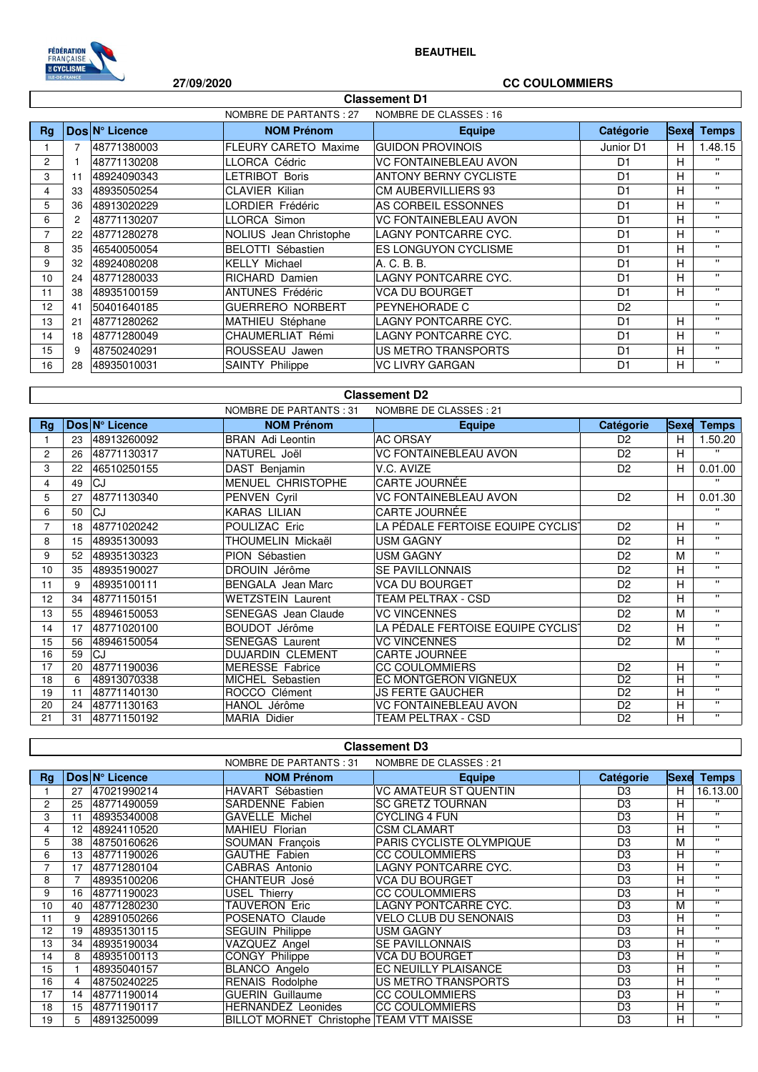

## **BEAUTHEIL**

# **27/09/2020 CC COULOMMIERS**

| <b>Classement D1</b>                              |                |                |                             |                              |                |             |              |  |
|---------------------------------------------------|----------------|----------------|-----------------------------|------------------------------|----------------|-------------|--------------|--|
| NOMBRE DE CLASSES : 16<br>NOMBRE DE PARTANTS : 27 |                |                |                             |                              |                |             |              |  |
| Ra                                                |                | Dos N° Licence | <b>NOM Prénom</b>           | <b>Equipe</b>                | Catégorie      | <b>Sexe</b> | <b>Temps</b> |  |
|                                                   | $\overline{7}$ | 48771380003    | <b>FLEURY CARETO Maxime</b> | <b>GUIDON PROVINOIS</b>      | Junior D1      | н           | 1.48.15      |  |
| 2                                                 |                | 48771130208    | LLORCA Cédric               | <b>VC FONTAINEBLEAU AVON</b> | D <sub>1</sub> | н           | $\mathbf{H}$ |  |
| 3                                                 | 11             | 48924090343    | LETRIBOT Boris              | <b>ANTONY BERNY CYCLISTE</b> | D <sub>1</sub> | н           | $\mathbf{H}$ |  |
| 4                                                 | 33             | 48935050254    | <b>CLAVIER Kilian</b>       | <b>CM AUBERVILLIERS 93</b>   | D <sub>1</sub> | н           | $\mathbf{H}$ |  |
| 5                                                 | 36             | 48913020229    | LORDIER Frédéric            | AS CORBEIL ESSONNES          | D <sub>1</sub> | н           | $\mathbf{H}$ |  |
| 6                                                 | 2              | 48771130207    | LLORCA Simon                | <b>VC FONTAINEBLEAU AVON</b> | D <sub>1</sub> | н           | $\mathbf{H}$ |  |
| 7                                                 | 22             | 48771280278    | NOLIUS Jean Christophe      | LAGNY PONTCARRE CYC.         | D <sub>1</sub> | н           | $\mathbf{H}$ |  |
| 8                                                 | 35             | 46540050054    | <b>BELOTTI Sébastien</b>    | <b>ES LONGUYON CYCLISME</b>  | D <sub>1</sub> | н           | $\mathbf{H}$ |  |
| 9                                                 | 32             | 48924080208    | <b>KELLY Michael</b>        | A. C. B. B.                  | D <sub>1</sub> | н           | $\mathbf{H}$ |  |
| 10                                                | 24             | 48771280033    | <b>RICHARD Damien</b>       | LAGNY PONTCARRE CYC.         | D <sub>1</sub> | н           | π.           |  |
| 11                                                | 38             | 48935100159    | <b>ANTUNES Frédéric</b>     | <b>VCA DU BOURGET</b>        | D <sub>1</sub> | н           | $\mathbf{H}$ |  |
| 12                                                | 41             | 50401640185    | <b>GUERRERO NORBERT</b>     | PEYNEHORADE C                | D <sub>2</sub> |             | $\mathbf{H}$ |  |
| 13                                                | 21             | 48771280262    | MATHIEU Stéphane            | LAGNY PONTCARRE CYC.         | D <sub>1</sub> | н           | $\mathbf{H}$ |  |
| 14                                                | 18             | 48771280049    | CHAUMERLIAT Rémi            | LAGNY PONTCARRE CYC.         | D <sub>1</sub> | н           | $\mathbf{H}$ |  |
| 15                                                | 9              | 48750240291    | ROUSSEAU Jawen              | US METRO TRANSPORTS          | D <sub>1</sub> | н           | $\mathbf{H}$ |  |
| 16                                                | 28             | 48935010031    | <b>SAINTY Philippe</b>      | <b>VC LIVRY GARGAN</b>       | D <sub>1</sub> | н           | $\mathbf{H}$ |  |
|                                                   |                |                |                             |                              |                |             |              |  |

### NOMBRE DE PARTANTS : 31 NOMBRE DE CLASSES : 21 **Rg**  $\vert$  **Dos**  $\vert N^{\circ}$  Licence  $\vert$  **NOM Prénom**  $\vert$  **Catégorie**  $\vert$  **Catégorie**  $\vert$  Sexe **Temps** 1 23 48913260092 BRAN Adi Leontin AC ORSAY D2 H 1.50.20 2 26 48771130317 NATUREL Joël VC FONTAINEBLEAU AVON D2 H '' 3 22 46510250155 DAST Benjamin V.C. AVIZE D2 H 0.01.00 4 49 CJ MENUEL CHRISTOPHE CARTE JOURNÉE '' 5 27 48771130340 PENVEN Cyril VC FONTAINEBLEAU AVON D2 H 0.01.30 6 50 CJ KARAS LILIAN CARTE JOURNÉE '' 7 | 18 48771020242 POULIZAC Eric LA PÉDALE FERTOISE EQUIPE CYCLIS | D2 | H | " 8 15 48935130093 THOUMELIN Mickaël USM GAGNY D2 H '' 9 52 48935130323 PION Sébastien USM GAGNY D2 M '' 10 35 48935190027 DROUIN Jérôme SE PAVILLONNAIS D2 H '' 11 9 48935100111 BENGALA Jean Marc VCA DU BOURGET D2 H ''<br>12 34 48771150151 WETZSTEIN Laurent TEAM PELTRAY CSD D2 H '' 12 34 48771150151 WETZSTEIN Laurent TEAM PELTRAX - CSD D2 H ''<br>12 55 48946150053 SENEGAS Joep Claude VC VINCENNES 13 55 48946150053 SENEGAS Jean Claude VC VINCENNES D2 M '' 14 | 17 | 48771020100 BOUDOT Jérôme LA PÉDALE FERTOISE EQUIPE CYCLISTE D2 H 15 56 48946150054 SENEGAS Laurent VC VINCENNES D2 M '' 16 59 CJ DUJARDIN CLEMENT CARTE JOURNÉE 17 20 48771190036 MERESSE Fabrice CC COULOMMIERS D2 H '' 18 6 48913070338 MICHEL Sebastien EC MONTGERON VIGNEUX 19 11 48771140130 ROCCO Clément JS FERTE GAUCHER D2 H '' 20 24 48771130163 HANOL Jérôme VC FONTAINEBLEAU AVON D2 H<br>21 31 48771150192 MARIA Didier TEAM PELTRAX - CSD D2 H TEAM PELTRAX - CSD **Classement D2**

|                | <b>Classement D3</b>                              |                |                                          |                              |                |             |              |  |  |
|----------------|---------------------------------------------------|----------------|------------------------------------------|------------------------------|----------------|-------------|--------------|--|--|
|                | NOMBRE DE CLASSES : 21<br>NOMBRE DE PARTANTS : 31 |                |                                          |                              |                |             |              |  |  |
| Rg             |                                                   | Dos N° Licence | <b>NOM Prénom</b>                        | <b>Equipe</b>                | Catégorie      | <b>Sexe</b> | <b>Temps</b> |  |  |
|                | 27                                                | 47021990214    | HAVART Sébastien                         | <b>VC AMATEUR ST QUENTIN</b> | D3             | н           | 16.13.00     |  |  |
| $\overline{2}$ | 25                                                | 48771490059    | SARDENNE Fabien                          | <b>SC GRETZ TOURNAN</b>      | D <sub>3</sub> | н           | $\cdots$     |  |  |
| 3              | 11                                                | 48935340008    | <b>GAVELLE Michel</b>                    | <b>CYCLING 4 FUN</b>         | D <sub>3</sub> | н           | $\mathbf{H}$ |  |  |
| 4              | 12                                                | 48924110520    | MAHIEU Florian                           | <b>CSM CLAMART</b>           | D <sub>3</sub> | н           | $\bullet$    |  |  |
| 5              | 38                                                | 48750160626    | SOUMAN François                          | PARIS CYCLISTE OLYMPIQUE     | D <sub>3</sub> | М           | $\bullet$    |  |  |
| 6              | 13                                                | 48771190026    | GAUTHE Fabien                            | <b>CC COULOMMIERS</b>        | D <sub>3</sub> | н           | $\mathbf{H}$ |  |  |
|                | 17                                                | 48771280104    | CABRAS Antonio                           | LAGNY PONTCARRE CYC.         | D <sub>3</sub> | н           | $\mathbf{H}$ |  |  |
| 8              |                                                   | 48935100206    | CHANTEUR José                            | <b>VCA DU BOURGET</b>        | D <sub>3</sub> | н           | $\mathbf{H}$ |  |  |
| 9              | 16                                                | 48771190023    | USEL Thierry                             | <b>CC COULOMMIERS</b>        | D <sub>3</sub> | н           | $\bullet$    |  |  |
| 10             | 40                                                | 48771280230    | TAUVERON Eric                            | LAGNY PONTCARRE CYC.         | D <sub>3</sub> | М           | $\bullet$    |  |  |
| 11             | 9                                                 | 42891050266    | POSENATO Claude                          | <b>VELO CLUB DU SENONAIS</b> | D <sub>3</sub> | н           | $\mathbf{H}$ |  |  |
| 12             | 19                                                | 48935130115    | <b>SEGUIN Philippe</b>                   | <b>USM GAGNY</b>             | D <sub>3</sub> | H           | $\cdots$     |  |  |
| 13             | 34                                                | 48935190034    | VAZQUEZ Angel                            | <b>SE PAVILLONNAIS</b>       | D <sub>3</sub> | н           | $\bullet$    |  |  |
| 14             | 8                                                 | 48935100113    | CONGY Philippe                           | <b>VCA DU BOURGET</b>        | D <sub>3</sub> | н           | $\mathbf{H}$ |  |  |
| 15             |                                                   | 48935040157    | <b>BLANCO</b> Angelo                     | EC NEUILLY PLAISANCE         | D <sub>3</sub> | н           | $\bullet$    |  |  |
| 16             | 4                                                 | 48750240225    | <b>RENAIS Rodolphe</b>                   | US METRO TRANSPORTS          | D <sub>3</sub> | н           | $\mathbf{H}$ |  |  |
| 17             | 14                                                | 48771190014    | <b>GUERIN Guillaume</b>                  | <b>CC COULOMMIERS</b>        | D <sub>3</sub> | н           | $\mathbf{H}$ |  |  |
| 18             | 15                                                | 48771190117    | HERNANDEZ Leonides                       | <b>CC COULOMMIERS</b>        | D <sub>3</sub> | н           | $\bullet$    |  |  |
| 19             | 5.                                                | 48913250099    | BILLOT MORNET Christophe TEAM VTT MAISSE |                              | D <sub>3</sub> | H.          | $\mathbf{H}$ |  |  |